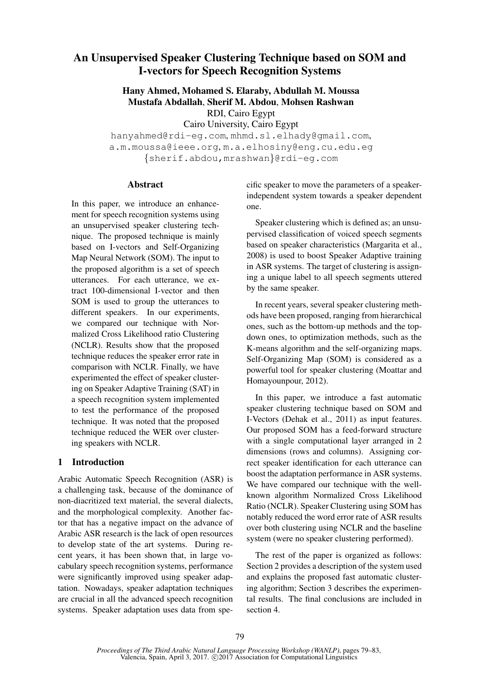## An Unsupervised Speaker Clustering Technique based on SOM and I-vectors for Speech Recognition Systems

# Hany Ahmed, Mohamed S. Elaraby, Abdullah M. Moussa Mustafa Abdallah, Sherif M. Abdou, Mohsen Rashwan RDI, Cairo Egypt

Cairo University, Cairo Egypt hanyahmed@rdi-eg.com, mhmd.sl.elhady@gmail.com, a.m.moussa@ieee.org, m.a.elhosiny@eng.cu.edu.eg {sherif.abdou,mrashwan}@rdi-eg.com

## Abstract

In this paper, we introduce an enhancement for speech recognition systems using an unsupervised speaker clustering technique. The proposed technique is mainly based on I-vectors and Self-Organizing Map Neural Network (SOM). The input to the proposed algorithm is a set of speech utterances. For each utterance, we extract 100-dimensional I-vector and then SOM is used to group the utterances to different speakers. In our experiments, we compared our technique with Normalized Cross Likelihood ratio Clustering (NCLR). Results show that the proposed technique reduces the speaker error rate in comparison with NCLR. Finally, we have experimented the effect of speaker clustering on Speaker Adaptive Training (SAT) in a speech recognition system implemented to test the performance of the proposed technique. It was noted that the proposed technique reduced the WER over clustering speakers with NCLR.

## 1 Introduction

Arabic Automatic Speech Recognition (ASR) is a challenging task, because of the dominance of non-diacritized text material, the several dialects, and the morphological complexity. Another factor that has a negative impact on the advance of Arabic ASR research is the lack of open resources to develop state of the art systems. During recent years, it has been shown that, in large vocabulary speech recognition systems, performance were significantly improved using speaker adaptation. Nowadays, speaker adaptation techniques are crucial in all the advanced speech recognition systems. Speaker adaptation uses data from specific speaker to move the parameters of a speakerindependent system towards a speaker dependent one.

Speaker clustering which is defined as; an unsupervised classification of voiced speech segments based on speaker characteristics (Margarita et al., 2008) is used to boost Speaker Adaptive training in ASR systems. The target of clustering is assigning a unique label to all speech segments uttered by the same speaker.

In recent years, several speaker clustering methods have been proposed, ranging from hierarchical ones, such as the bottom-up methods and the topdown ones, to optimization methods, such as the K-means algorithm and the self-organizing maps. Self-Organizing Map (SOM) is considered as a powerful tool for speaker clustering (Moattar and Homayounpour, 2012).

In this paper, we introduce a fast automatic speaker clustering technique based on SOM and I-Vectors (Dehak et al., 2011) as input features. Our proposed SOM has a feed-forward structure with a single computational layer arranged in 2 dimensions (rows and columns). Assigning correct speaker identification for each utterance can boost the adaptation performance in ASR systems. We have compared our technique with the wellknown algorithm Normalized Cross Likelihood Ratio (NCLR). Speaker Clustering using SOM has notably reduced the word error rate of ASR results over both clustering using NCLR and the baseline system (were no speaker clustering performed).

The rest of the paper is organized as follows: Section 2 provides a description of the system used and explains the proposed fast automatic clustering algorithm; Section 3 describes the experimental results. The final conclusions are included in section 4.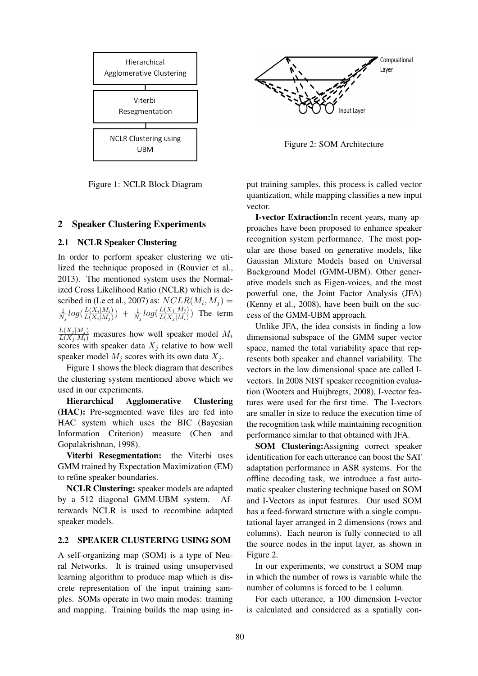

Figure 1: NCLR Block Diagram

#### 2 Speaker Clustering Experiments

## 2.1 NCLR Speaker Clustering

In order to perform speaker clustering we utilized the technique proposed in (Rouvier et al., 2013). The mentioned system uses the Normalized Cross Likelihood Ratio (NCLR) which is described in (Le et al., 2007) as:  $NCLR(M_i, M_j) =$ 1  $\frac{1}{N_j} log(\frac{L(X_i|M_i)}{L(X_i|M_j)}$  $\frac{L(X_i|M_i)}{L(X_i|M_j)}) + \frac{1}{N_j} log(\frac{L(X_j|M_j)}{L(X_j|M_i)})$  $\frac{L(X_j|M_j)}{L(X_j|M_i)}$ ) The term

 $\frac{L(X_j | M_j)}{L(X_j | M_i)}$  measures how well speaker model  $M_i$ scores with speaker data  $X_i$  relative to how well speaker model  $M_i$  scores with its own data  $X_i$ .

Figure 1 shows the block diagram that describes the clustering system mentioned above which we used in our experiments.

Hierarchical Agglomerative Clustering (HAC): Pre-segmented wave files are fed into HAC system which uses the BIC (Bayesian Information Criterion) measure (Chen and Gopalakrishnan, 1998).

Viterbi Resegmentation: the Viterbi uses GMM trained by Expectation Maximization (EM) to refine speaker boundaries.

NCLR Clustering: speaker models are adapted by a 512 diagonal GMM-UBM system. Afterwards NCLR is used to recombine adapted speaker models.

#### 2.2 SPEAKER CLUSTERING USING SOM

A self-organizing map (SOM) is a type of Neural Networks. It is trained using unsupervised learning algorithm to produce map which is discrete representation of the input training samples. SOMs operate in two main modes: training and mapping. Training builds the map using in-



Figure 2: SOM Architecture

put training samples, this process is called vector quantization, while mapping classifies a new input vector.

I-vector Extraction:In recent years, many approaches have been proposed to enhance speaker recognition system performance. The most popular are those based on generative models, like Gaussian Mixture Models based on Universal Background Model (GMM-UBM). Other generative models such as Eigen-voices, and the most powerful one, the Joint Factor Analysis (JFA) (Kenny et al., 2008), have been built on the success of the GMM-UBM approach.

Unlike JFA, the idea consists in finding a low dimensional subspace of the GMM super vector space, named the total variability space that represents both speaker and channel variability. The vectors in the low dimensional space are called Ivectors. In 2008 NIST speaker recognition evaluation (Wooters and Huijbregts, 2008), I-vector features were used for the first time. The I-vectors are smaller in size to reduce the execution time of the recognition task while maintaining recognition performance similar to that obtained with JFA.

SOM Clustering:Assigning correct speaker identification for each utterance can boost the SAT adaptation performance in ASR systems. For the offline decoding task, we introduce a fast automatic speaker clustering technique based on SOM and I-Vectors as input features. Our used SOM has a feed-forward structure with a single computational layer arranged in 2 dimensions (rows and columns). Each neuron is fully connected to all the source nodes in the input layer, as shown in Figure 2.

In our experiments, we construct a SOM map in which the number of rows is variable while the number of columns is forced to be 1 column.

For each utterance, a 100 dimension I-vector is calculated and considered as a spatially con-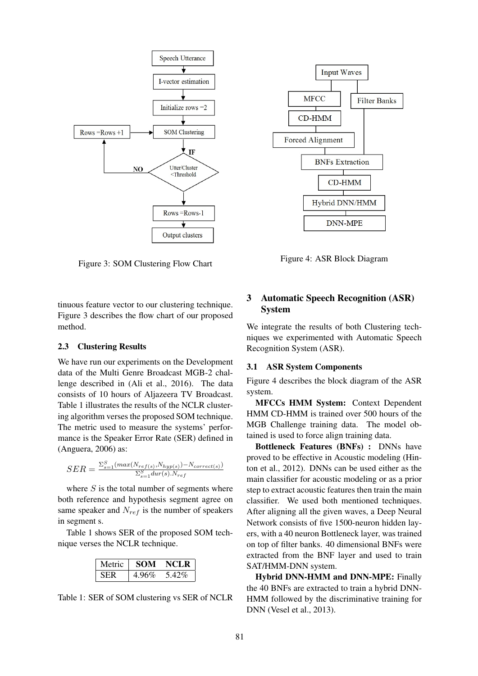

Figure 3: SOM Clustering Flow Chart

tinuous feature vector to our clustering technique. Figure 3 describes the flow chart of our proposed method.

#### 2.3 Clustering Results

We have run our experiments on the Development data of the Multi Genre Broadcast MGB-2 challenge described in (Ali et al., 2016). The data consists of 10 hours of Aljazeera TV Broadcast. Table 1 illustrates the results of the NCLR clustering algorithm verses the proposed SOM technique. The metric used to measure the systems' performance is the Speaker Error Rate (SER) defined in (Anguera, 2006) as:

$$
SER = \frac{\sum_{s=1}^{S}(max(N_{ref(s)}, N_{hyp(s)}) - N_{correct(s)})}{\sum_{s=1}^{S}dur(s).N_{ref}}
$$

where  $S$  is the total number of segments where both reference and hypothesis segment agree on same speaker and  $N_{ref}$  is the number of speakers in segment s.

Table 1 shows SER of the proposed SOM technique verses the NCLR technique.

| letric | SO DE<br>VI     | L'I R |
|--------|-----------------|-------|
|        | $\mathcal{O}_0$ |       |

Table 1: SER of SOM clustering vs SER of NCLR



Figure 4: ASR Block Diagram

## 3 Automatic Speech Recognition (ASR) System

We integrate the results of both Clustering techniques we experimented with Automatic Speech Recognition System (ASR).

#### 3.1 ASR System Components

Figure 4 describes the block diagram of the ASR system.

MFCCs HMM System: Context Dependent HMM CD-HMM is trained over 500 hours of the MGB Challenge training data. The model obtained is used to force align training data.

Bottleneck Features (BNFs) : DNNs have proved to be effective in Acoustic modeling (Hinton et al., 2012). DNNs can be used either as the main classifier for acoustic modeling or as a prior step to extract acoustic features then train the main classifier. We used both mentioned techniques. After aligning all the given waves, a Deep Neural Network consists of five 1500-neuron hidden layers, with a 40 neuron Bottleneck layer, was trained on top of filter banks. 40 dimensional BNFs were extracted from the BNF layer and used to train SAT/HMM-DNN system.

Hybrid DNN-HMM and DNN-MPE: Finally the 40 BNFs are extracted to train a hybrid DNN-HMM followed by the discriminative training for DNN (Vesel et al., 2013).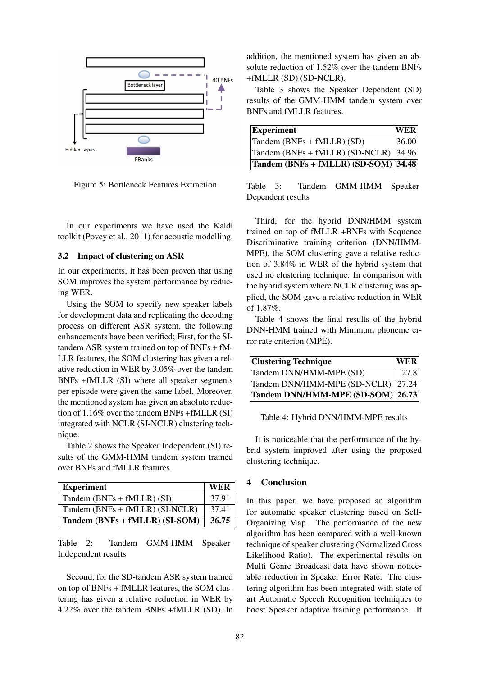

Figure 5: Bottleneck Features Extraction

In our experiments we have used the Kaldi toolkit (Povey et al., 2011) for acoustic modelling.

#### 3.2 Impact of clustering on ASR

In our experiments, it has been proven that using SOM improves the system performance by reducing WER.

Using the SOM to specify new speaker labels for development data and replicating the decoding process on different ASR system, the following enhancements have been verified; First, for the SItandem ASR system trained on top of BNFs + fM-LLR features, the SOM clustering has given a relative reduction in WER by 3.05% over the tandem BNFs +fMLLR (SI) where all speaker segments per episode were given the same label. Moreover, the mentioned system has given an absolute reduction of 1.16% over the tandem BNFs +fMLLR (SI) integrated with NCLR (SI-NCLR) clustering technique.

Table 2 shows the Speaker Independent (SI) results of the GMM-HMM tandem system trained over BNFs and fMLLR features.

| <b>Experiment</b>               | <b>WER</b> |
|---------------------------------|------------|
| Tandem $(BNFs + fMLLR)$ (SI)    | 37.91      |
| Tandem (BNFs + fMLLR) (SI-NCLR) | 37.41      |
| Tandem (BNFs + fMLLR) (SI-SOM)  | 36.75      |

Table 2: Tandem GMM-HMM Speaker-Independent results

Second, for the SD-tandem ASR system trained on top of BNFs + fMLLR features, the SOM clustering has given a relative reduction in WER by 4.22% over the tandem BNFs +fMLLR (SD). In

addition, the mentioned system has given an absolute reduction of 1.52% over the tandem BNFs +fMLLR (SD) (SD-NCLR).

Table 3 shows the Speaker Dependent (SD) results of the GMM-HMM tandem system over BNFs and fMLLR features.

| Experiment                                                    | <b>WER</b> |
|---------------------------------------------------------------|------------|
| $\text{Tandem (BNFs + fMLLR) (SD)}$                           | 36.00      |
| $\vert$ Tandem (BNFs + fMLLR) (SD-NCLR) $\vert$ 34.96 $\vert$ |            |
| $\boxed{\text{Tandem (BNFs + fMLLR) (SD-SOM)}\,34.48}$        |            |

Table 3: Tandem GMM-HMM Speaker-Dependent results

Third, for the hybrid DNN/HMM system trained on top of fMLLR +BNFs with Sequence Discriminative training criterion (DNN/HMM-MPE), the SOM clustering gave a relative reduction of 3.84% in WER of the hybrid system that used no clustering technique. In comparison with the hybrid system where NCLR clustering was applied, the SOM gave a relative reduction in WER of 1.87%.

Table 4 shows the final results of the hybrid DNN-HMM trained with Minimum phoneme error rate criterion (MPE).

| <b>WER</b><br><b>Clustering Technique</b> |      |
|-------------------------------------------|------|
| Tandem DNN/HMM-MPE (SD)                   | 27.8 |
| Tandem DNN/HMM-MPE (SD-NCLR)   27.24      |      |
| <b>Tandem DNN/HMM-MPE (SD-SOM) 26.73</b>  |      |

Table 4: Hybrid DNN/HMM-MPE results

It is noticeable that the performance of the hybrid system improved after using the proposed clustering technique.

#### 4 Conclusion

In this paper, we have proposed an algorithm for automatic speaker clustering based on Self-Organizing Map. The performance of the new algorithm has been compared with a well-known technique of speaker clustering (Normalized Cross Likelihood Ratio). The experimental results on Multi Genre Broadcast data have shown noticeable reduction in Speaker Error Rate. The clustering algorithm has been integrated with state of art Automatic Speech Recognition techniques to boost Speaker adaptive training performance. It